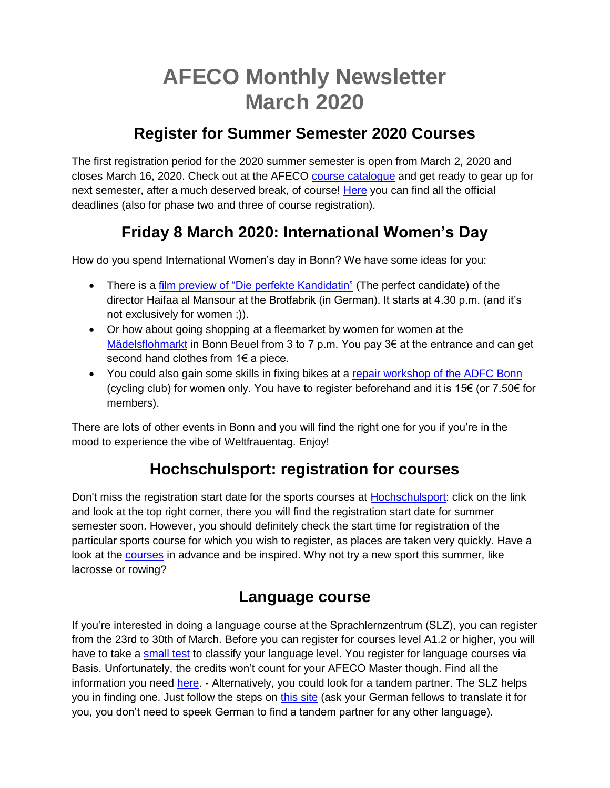# **AFECO Monthly Newsletter March 2020**

### **Register for Summer Semester 2020 Courses**

The first registration period for the 2020 summer semester is open from March 2, 2020 and closes March 16, 2020. Check out at the AFECO [course catalogue](https://www.lf.uni-bonn.de/en/studying/downloads/coursebook/modules-msc-afeco) and get ready to gear up for next semester, after a much deserved break, of course! [Here](http://lf.uni-bonn.de/en/studying/downloads/examination-office/deadlines/deadlines-suse-msc-afeco) you can find all the official deadlines (also for phase two and three of course registration).

# **Friday 8 March 2020: International Women's Day**

How do you spend International Women's day in Bonn? We have some ideas for you:

- There is a [film preview of "Die perfekte Kandidatin"](https://www.facebook.com/events/2494424964103029/) (The perfect candidate) of the director Haifaa al Mansour at the Brotfabrik (in German). It starts at 4.30 p.m. (and it's not exclusively for women ;)).
- Or how about going shopping at a fleemarket by women for women at the [Mädelsflohmarkt](https://www.facebook.com/events/2358310541127073/) in Bonn Beuel from 3 to 7 p.m. You pay 3€ at the entrance and can get second hand clothes from 1€ a piece.
- You could also gain some skills in fixing bikes at a [repair workshop of the ADFC Bonn](https://www.facebook.com/events/610740379500553/) (cycling club) for women only. You have to register beforehand and it is 15€ (or 7.50€ for members).

There are lots of other events in Bonn and you will find the right one for you if you're in the mood to experience the vibe of Weltfrauentag. Enjoy!

# **Hochschulsport: registration for courses**

Don't miss the registration start date for the sports courses at [Hochschulsport:](https://www.sport.uni-bonn.de/) click on the link and look at the top right corner, there you will find the registration start date for summer semester soon. However, you should definitely check the start time for registration of the particular sports course for which you wish to register, as places are taken very quickly. Have a look at the [courses](https://www.sportangebot.uni-bonn.de/angebote/aktueller_zeitraum/index.html) in advance and be inspired. Why not try a new sport this summer, like lacrosse or rowing?

### **Language course**

If you're interested in doing a language course at the Sprachlernzentrum (SLZ), you can register from the 23rd to 30th of March. Before you can register for courses level A1.2 or higher, you will have to take a [small test](https://ecampus.uni-bonn.de/login.php?target=crs_5729&soap_pw=&ext_uid=&cookies=nocookies&client_id=ecampus&lang=de) to classify your language level. You register for language courses via Basis. Unfortunately, the credits won't count for your AFECO Master though. Find all the information you need [here.](https://www.ikm.uni-bonn.de/sprachlernzentrum/sprachmodule/anmeldung) - Alternatively, you could look for a tandem partner. The SLZ helps you in finding one. Just follow the steps on [this site](https://www.ikm.uni-bonn.de/sprachlernzentrum/selbstlernangebote/begleitetes-autonomes-fremdsprachenlernen/tandem/anmeldung) (ask your German fellows to translate it for you, you don't need to speek German to find a tandem partner for any other language).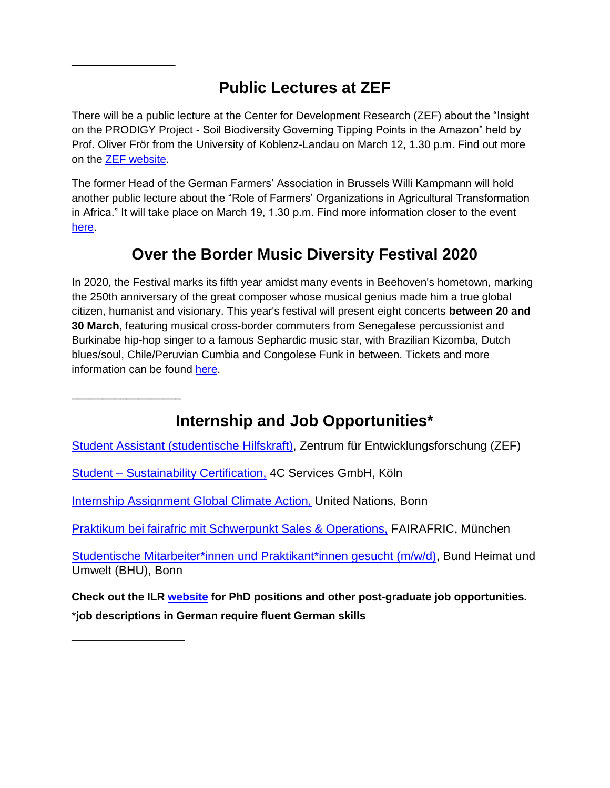# **Public Lectures at ZEF**

\_\_\_\_\_\_\_\_\_\_\_\_\_\_\_\_\_

\_\_\_\_\_\_\_\_\_\_\_\_\_\_\_\_\_\_

\_\_\_\_\_\_\_\_\_\_\_\_\_\_\_\_\_

There will be a public lecture at the Center for Development Research (ZEF) about the "Insight on the PRODIGY Project - Soil Biodiversity Governing Tipping Points in the Amazon" held by Prof. Oliver Frör from the University of Koblenz-Landau on March 12, 1.30 p.m. Find out more on the [ZEF website.](https://www.zef.de/media-center/events/details.html?contact=&tx_news_pi1%5Bnews%5D=4058&cHash=9744909ecdc0d64b91993deb7f714cfd)

The former Head of the German Farmers' Association in Brussels Willi Kampmann will hold another public lecture about the "Role of Farmers' Organizations in Agricultural Transformation in Africa." It will take place on March 19, 1.30 p.m. Find more information closer to the event [here.](https://www.zef.de/media-center/events/details.html?contact=&tx_news_pi1%5Bnews%5D=4059&cHash=efe8b4002af07dc2beb409512ef96487)

# **Over the Border Music Diversity Festival 2020**

In 2020, the Festival marks its fifth year amidst many events in Beehoven's hometown, marking the 250th anniversary of the great composer whose musical genius made him a true global citizen, humanist and visionary. This year's festival will present eight concerts **between 20 and 30 March**, featuring musical cross-border commuters from Senegalese percussionist and Burkinabe hip-hop singer to a famous Sephardic music star, with Brazilian Kizomba, Dutch blues/soul, Chile/Peruvian Cumbia and Congolese Funk in between. Tickets and more information can be found [here.](https://www.overtheborder-festival.de/)

**Internship and Job Opportunities\***

Student Assistant [\(studentische](https://www.zef.de/fileadmin/webfiles/downloads/vacancies/SHK_Volatility_2020_January_eng.pdf) Hilfskraft), Zentrum für Entwicklungsforschung (ZEF)

Student – [Sustainability Certification,](https://www.4c-services.org/wp-content/uploads/2020/02/4C_Student-Job_February_2020.pdf) 4C Services GmbH, Köln

[Internship Assignment Global Climate Action,](https://unfccc.int/secretariat/employment/UserManagement/FileStorage/2LC57H91M0Y86NQOKSUX4GIPBATZDE) United Nations, Bonn

[Praktikum bei fairafric mit Schwerpunkt Sales & Operations,](https://fairafric.com/de/praktikum-bei-fairafric-mit-schwerpunkt-sales-operations) FAIRAFRIC, München

[Studentische Mitarbeiter\\*innen und Praktikant\\*innen gesucht \(m/w/d\),](https://www.ilr1.uni-bonn.de/de/jobs/praktikum-bhu.pdf) Bund Heimat und Umwelt (BHU), Bonn

**Check out the ILR [website](https://www.ilr1.uni-bonn.de/de/jobs/stellenanzeigen) for PhD positions and other post-graduate job opportunities.** \***job descriptions in German require fluent German skills**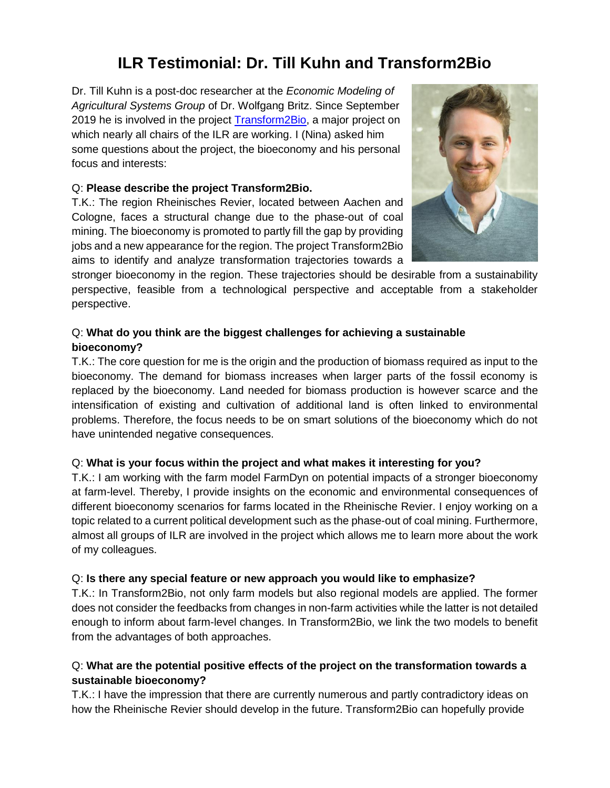# **ILR Testimonial: Dr. Till Kuhn and Transform2Bio**

Dr. Till Kuhn is a post-doc researcher at the *Economic Modeling of Agricultural Systems Group* of Dr. Wolfgang Britz. Since September 2019 he is involved in the project [Transform2Bio,](https://www.ilr.uni-bonn.de/em/rsrch/transform2Bio/transform2bio_e.htm) a major project on which nearly all chairs of the ILR are working. I (Nina) asked him some questions about the project, the bioeconomy and his personal focus and interests:

#### Q: **Please describe the project Transform2Bio.**

T.K.: The region Rheinisches Revier, located between Aachen and Cologne, faces a structural change due to the phase-out of coal mining. The bioeconomy is promoted to partly fill the gap by providing jobs and a new appearance for the region. The project Transform2Bio aims to identify and analyze transformation trajectories towards a



stronger bioeconomy in the region. These trajectories should be desirable from a sustainability perspective, feasible from a technological perspective and acceptable from a stakeholder perspective.

### Q: **What do you think are the biggest challenges for achieving a sustainable bioeconomy?**

T.K.: The core question for me is the origin and the production of biomass required as input to the bioeconomy. The demand for biomass increases when larger parts of the fossil economy is replaced by the bioeconomy. Land needed for biomass production is however scarce and the intensification of existing and cultivation of additional land is often linked to environmental problems. Therefore, the focus needs to be on smart solutions of the bioeconomy which do not have unintended negative consequences.

#### Q: **What is your focus within the project and what makes it interesting for you?**

T.K.: I am working with the farm model FarmDyn on potential impacts of a stronger bioeconomy at farm-level. Thereby, I provide insights on the economic and environmental consequences of different bioeconomy scenarios for farms located in the Rheinische Revier. I enjoy working on a topic related to a current political development such as the phase-out of coal mining. Furthermore, almost all groups of ILR are involved in the project which allows me to learn more about the work of my colleagues.

#### Q: **Is there any special feature or new approach you would like to emphasize?**

T.K.: In Transform2Bio, not only farm models but also regional models are applied. The former does not consider the feedbacks from changes in non-farm activities while the latter is not detailed enough to inform about farm-level changes. In Transform2Bio, we link the two models to benefit from the advantages of both approaches.

### Q: **What are the potential positive effects of the project on the transformation towards a sustainable bioeconomy?**

T.K.: I have the impression that there are currently numerous and partly contradictory ideas on how the Rheinische Revier should develop in the future. Transform2Bio can hopefully provide